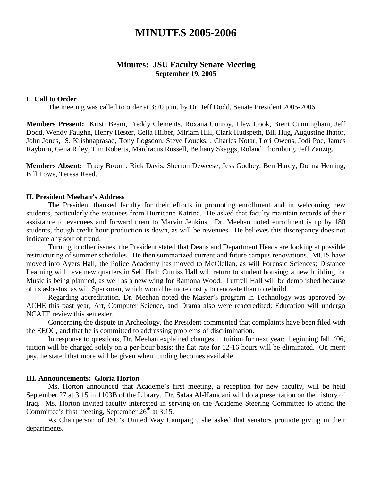# **MINUTES 2005-2006**

# **Minutes: JSU Faculty Senate Meeting September 19, 2005**

#### **I. Call to Order**

The meeting was called to order at 3:20 p.m. by Dr. Jeff Dodd, Senate President 2005-2006.

**Members Present:** Kristi Beam, Freddy Clements, Roxana Conroy, Llew Cook, Brent Cunningham, Jeff Dodd, Wendy Faughn, Henry Hester, Celia Hilber, Miriam Hill, Clark Hudspeth, Bill Hug, Augustine Ihator, John Jones, S. Krishnaprasad, Tony Logsdon, Steve Loucks, , Charles Notar, Lori Owens, Jodi Poe, James Rayburn, Gena Riley, Tim Roberts, Mardracus Russell, Bethany Skaggs, Roland Thornburg, Jeff Zanzig.

**Members Absent:** Tracy Broom, Rick Davis, Sherron Deweese, Jess Godbey, Ben Hardy, Donna Herring, Bill Lowe, Teresa Reed.

#### **II. President Meehan's Address**

The President thanked faculty for their efforts in promoting enrollment and in welcoming new students, particularly the evacuees from Hurricane Katrina. He asked that faculty maintain records of their assistance to evacuees and forward them to Marvin Jenkins. Dr. Meehan noted enrollment is up by 180 students, though credit hour production is down, as will be revenues. He believes this discrepancy does not indicate any sort of trend.

Turning to other issues, the President stated that Deans and Department Heads are looking at possible restructuring of summer schedules. He then summarized current and future campus renovations. MCIS have moved into Ayers Hall; the Police Academy has moved to McClellan, as will Forensic Sciences; Distance Learning will have new quarters in Self Hall; Curtiss Hall will return to student housing; a new building for Music is being planned, as well as a new wing for Ramona Wood. Luttrell Hall will be demolished because of its asbestos, as will Sparkman, which would be more costly to renovate than to rebuild.

Regarding accreditation, Dr. Meehan noted the Master's program in Technology was approved by ACHE this past year; Art, Computer Science, and Drama also were reaccredited; Education will undergo NCATE review this semester.

Concerning the dispute in Archeology, the President commented that complaints have been filed with the EEOC, and that he is committed to addressing problems of discrimination.

In response to questions, Dr. Meehan explained changes in tuition for next year: beginning fall, '06, tuition will be charged solely on a per-hour basis; the flat rate for 12-16 hours will be eliminated. On merit pay, he stated that more will be given when funding becomes available.

### **III. Announcements: Gloria Horton**

Ms. Horton announced that Academe's first meeting, a reception for new faculty, will be held September 27 at 3:15 in 1103B of the Library. Dr. Safaa Al-Hamdani will do a presentation on the history of Iraq. Ms. Horton invited faculty interested in serving on the Academe Steering Committee to attend the Committee's first meeting, September  $26<sup>th</sup>$  at 3:15.

As Chairperson of JSU's United Way Campaign, she asked that senators promote giving in their departments.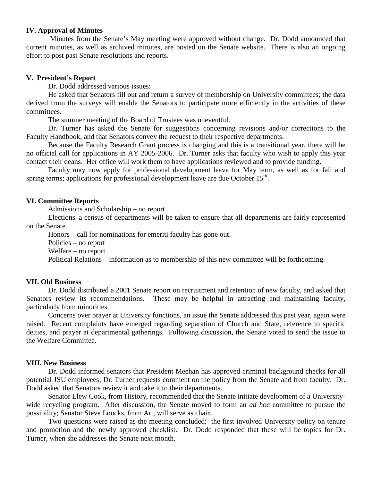### **IV. Approval of Minutes**

Minutes from the Senate's May meeting were approved without change. Dr. Dodd announced that current minutes, as well as archived minutes, are posted on the Senate website. There is also an ongoing effort to post past Senate resolutions and reports.

### **V. President's Report**

Dr. Dodd addressed various issues:

He asked that Senators fill out and return a survey of membership on University committees; the data derived from the surveys will enable the Senators to participate more efficiently in the activities of these committees.

The summer meeting of the Board of Trustees was uneventful.

Dr. Turner has asked the Senate for suggestions concerning revisions and/or corrections to the Faculty Handbook, and that Senators convey the request to their respective departments.

Because the Faculty Research Grant process is changing and this is a transitional year, there will be no official call for applications in AY 2005-2006. Dr. Turner asks that faculty who wish to apply this year contact their deans. Her office will work them to have applications reviewed and to provide funding.

Faculty may now apply for professional development leave for May term, as well as for fall and spring terms; applications for professional development leave are due October  $15<sup>th</sup>$ .

### **VI. Committee Reports**

Admissions and Scholarship – no report

Elections–a census of departments will be taken to ensure that all departments are fairly represented on the Senate.

Honors – call for nominations for emeriti faculty has gone out.

Policies – no report

Welfare – no report

Political Relations – information as to membership of this new committee will be forthcoming.

#### **VII. Old Business**

Dr. Dodd distributed a 2001 Senate report on recruitment and retention of new faculty, and asked that Senators review its recommendations. These may be helpful in attracting and maintaining faculty, particularly from minorities.

Concerns over prayer at University functions, an issue the Senate addressed this past year, again were raised. Recent complaints have emerged regarding separation of Church and State, reference to specific deities, and prayer at departmental gatherings. Following discussion, the Senate voted to send the issue to the Welfare Committee.

#### **VIII. New Business**

Dr. Dodd informed senators that President Meehan has approved criminal background checks for all potential JSU employees; Dr. Turner requests comment on the policy from the Senate and from faculty. Dr. Dodd asked that Senators review it and take it to their departments.

Senator Llew Cook, from History, recommended that the Senate initiate development of a Universitywide recycling program. After discussion, the Senate moved to form an *ad hoc* committee to pursue the possibility; Senator Steve Loucks, from Art, will serve as chair.

Two questions were raised as the meeting concluded: the first involved University policy on tenure and promotion and the newly approved checklist. Dr. Dodd responded that these will be topics for Dr. Turner, when she addresses the Senate next month.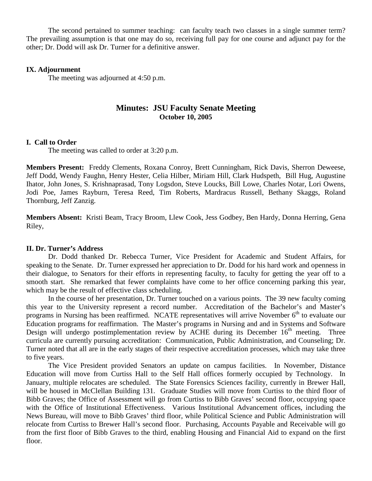The second pertained to summer teaching: can faculty teach two classes in a single summer term? The prevailing assumption is that one may do so, receiving full pay for one course and adjunct pay for the other; Dr. Dodd will ask Dr. Turner for a definitive answer.

### **IX. Adjournment**

The meeting was adjourned at 4:50 p.m.

# **Minutes: JSU Faculty Senate Meeting October 10, 2005**

### **I. Call to Order**

The meeting was called to order at 3:20 p.m.

**Members Present:** Freddy Clements, Roxana Conroy, Brett Cunningham, Rick Davis, Sherron Deweese, Jeff Dodd, Wendy Faughn, Henry Hester, Celia Hilber, Miriam Hill, Clark Hudspeth, Bill Hug, Augustine Ihator, John Jones, S. Krishnaprasad, Tony Logsdon, Steve Loucks, Bill Lowe, Charles Notar, Lori Owens, Jodi Poe, James Rayburn, Teresa Reed, Tim Roberts, Mardracus Russell, Bethany Skaggs, Roland Thornburg, Jeff Zanzig.

**Members Absent:** Kristi Beam, Tracy Broom, Llew Cook, Jess Godbey, Ben Hardy, Donna Herring, Gena Riley,

## **II. Dr. Turner's Address**

Dr. Dodd thanked Dr. Rebecca Turner, Vice President for Academic and Student Affairs, for speaking to the Senate. Dr. Turner expressed her appreciation to Dr. Dodd for his hard work and openness in their dialogue, to Senators for their efforts in representing faculty, to faculty for getting the year off to a smooth start. She remarked that fewer complaints have come to her office concerning parking this year, which may be the result of effective class scheduling.

In the course of her presentation, Dr. Turner touched on a various points. The 39 new faculty coming this year to the University represent a record number. Accreditation of the Bachelor's and Master's programs in Nursing has been reaffirmed. NCATE representatives will arrive November  $6<sup>th</sup>$  to evaluate our Education programs for reaffirmation. The Master's programs in Nursing and and in Systems and Software Design will undergo postimplementation review by ACHE during its December  $16<sup>th</sup>$  meeting. Three curricula are currently pursuing accreditation: Communication, Public Administration, and Counseling; Dr. Turner noted that all are in the early stages of their respective accreditation processes, which may take three to five years.

The Vice President provided Senators an update on campus facilities. In November, Distance Education will move from Curtiss Hall to the Self Hall offices formerly occupied by Technology. In January, multiple relocates are scheduled. The State Forensics Sciences facility, currently in Brewer Hall, will be housed in McClellan Building 131. Graduate Studies will move from Curtiss to the third floor of Bibb Graves; the Office of Assessment will go from Curtiss to Bibb Graves' second floor, occupying space with the Office of Institutional Effectiveness. Various Institutional Advancement offices, including the News Bureau, will move to Bibb Graves' third floor, while Political Science and Public Administration will relocate from Curtiss to Brewer Hall's second floor. Purchasing, Accounts Payable and Receivable will go from the first floor of Bibb Graves to the third, enabling Housing and Financial Aid to expand on the first floor.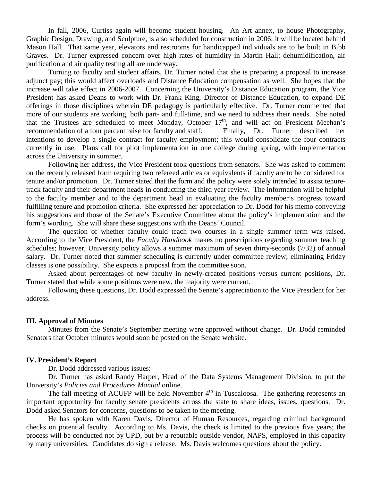In fall, 2006, Curtiss again will become student housing. An Art annex, to house Photography, Graphic Design, Drawing, and Sculpture, is also scheduled for construction in 2006; it will be located behind Mason Hall. That same year, elevators and restrooms for handicapped individuals are to be built in Bibb Graves. Dr. Turner expressed concern over high rates of humidity in Martin Hall: dehumidification, air purification and air quality testing all are underway.

Turning to faculty and student affairs, Dr. Turner noted that she is preparing a proposal to increase adjunct pay; this would affect overloads and Distance Education compensation as well. She hopes that the increase will take effect in 2006-2007. Concerning the University's Distance Education program, the Vice President has asked Deans to work with Dr. Frank King, Director of Distance Education, to expand DE offerings in those disciplines wherein DE pedagogy is particularly effective. Dr. Turner commented that more of our students are working, both part- and full-time, and we need to address their needs. She noted that the Trustees are scheduled to meet Monday, October 17<sup>th</sup>, and will act on President Meehan's recommendation of a four percent raise for faculty and staff. Finally, Dr. Turner described her intentions to develop a single contract for faculty employment; this would consolidate the four contracts currently in use. Plans call for pilot implementation in one college during spring, with implementation across the University in summer.

Following her address, the Vice President took questions from senators. She was asked to comment on the recently released form requiring two refereed articles or equivalents if faculty are to be considered for tenure and/or promotion. Dr. Turner stated that the form and the policy were solely intended to assist tenuretrack faculty and their department heads in conducting the third year review. The information will be helpful to the faculty member and to the department head in evaluating the faculty member's progress toward fulfilling tenure and promotion criteria. She expressed her appreciation to Dr. Dodd for his memo conveying his suggestions and those of the Senate's Executive Committee about the policy's implementation and the form's wording. She will share these suggestions with the Deans' Council.

The question of whether faculty could teach two courses in a single summer term was raised. According to the Vice President, the *Faculty Handbook* makes no prescriptions regarding summer teaching schedules; however, University policy allows a summer maximum of seven thirty-seconds (7/32) of annual salary. Dr. Turner noted that summer scheduling is currently under committee review; eliminating Friday classes is one possibility. She expects a proposal from the committee soon.

Asked about percentages of new faculty in newly-created positions versus current positions, Dr. Turner stated that while some positions were new, the majority were current.

Following these questions, Dr. Dodd expressed the Senate's appreciation to the Vice President for her address.

#### **III. Approval of Minutes**

Minutes from the Senate's September meeting were approved without change. Dr. Dodd reminded Senators that October minutes would soon be posted on the Senate website.

#### **IV. President's Report**

Dr. Dodd addressed various issues:

Dr. Turner has asked Randy Harper, Head of the Data Systems Management Division, to put the University's *Policies and Procedures Manual* online.

The fall meeting of ACUFP will be held November  $4<sup>th</sup>$  in Tuscaloosa. The gathering represents an important opportunity for faculty senate presidents across the state to share ideas, issues, questions. Dr. Dodd asked Senators for concerns, questions to be taken to the meeting.

He has spoken with Karen Davis, Director of Human Resources, regarding criminal background checks on potential faculty. According to Ms. Davis, the check is limited to the previous five years; the process will be conducted not by UPD, but by a reputable outside vendor, NAPS, employed in this capacity by many universities. Candidates do sign a release. Ms. Davis welcomes questions about the policy.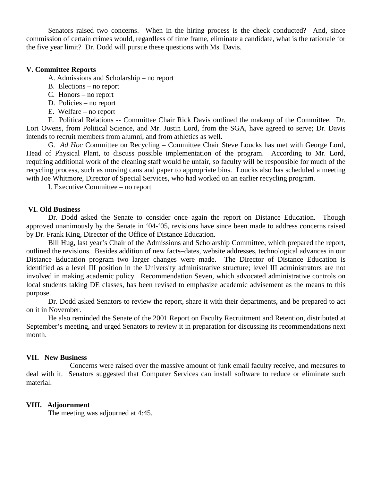Senators raised two concerns. When in the hiring process is the check conducted? And, since commission of certain crimes would, regardless of time frame, eliminate a candidate, what is the rationale for the five year limit? Dr. Dodd will pursue these questions with Ms. Davis.

## **V. Committee Reports**

- A. Admissions and Scholarship no report
- B. Elections no report
- C. Honors no report
- D. Policies no report
- E. Welfare no report

F. Political Relations -- Committee Chair Rick Davis outlined the makeup of the Committee. Dr. Lori Owens, from Political Science, and Mr. Justin Lord, from the SGA, have agreed to serve; Dr. Davis intends to recruit members from alumni, and from athletics as well.

G. *Ad Hoc* Committee on Recycling – Committee Chair Steve Loucks has met with George Lord, Head of Physical Plant, to discuss possible implementation of the program. According to Mr. Lord, requiring additional work of the cleaning staff would be unfair, so faculty will be responsible for much of the recycling process, such as moving cans and paper to appropriate bins. Loucks also has scheduled a meeting with Joe Whitmore, Director of Special Services, who had worked on an earlier recycling program.

I. Executive Committee – no report

#### **VI. Old Business**

Dr. Dodd asked the Senate to consider once again the report on Distance Education. Though approved unanimously by the Senate in '04-'05, revisions have since been made to address concerns raised by Dr. Frank King, Director of the Office of Distance Education.

Bill Hug, last year's Chair of the Admissions and Scholarship Committee, which prepared the report, outlined the revisions. Besides addition of new facts–dates, website addresses, technological advances in our Distance Education program–two larger changes were made. The Director of Distance Education is identified as a level III position in the University administrative structure; level III administrators are not involved in making academic policy. Recommendation Seven, which advocated administrative controls on local students taking DE classes, has been revised to emphasize academic advisement as the means to this purpose.

Dr. Dodd asked Senators to review the report, share it with their departments, and be prepared to act on it in November.

He also reminded the Senate of the 2001 Report on Faculty Recruitment and Retention, distributed at September's meeting, and urged Senators to review it in preparation for discussing its recommendations next month.

#### **VII. New Business**

Concerns were raised over the massive amount of junk email faculty receive, and measures to deal with it. Senators suggested that Computer Services can install software to reduce or eliminate such material.

#### **VIII. Adjournment**

The meeting was adjourned at 4:45.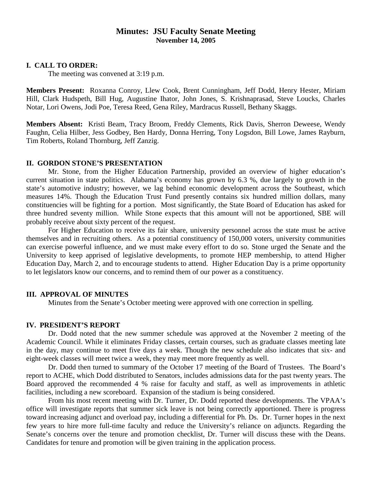# **Minutes: JSU Faculty Senate Meeting November 14, 2005**

#### **I. CALL TO ORDER:**

The meeting was convened at 3:19 p.m.

**Members Present:** Roxanna Conroy, Llew Cook, Brent Cunningham, Jeff Dodd, Henry Hester, Miriam Hill, Clark Hudspeth, Bill Hug, Augustine Ihator, John Jones, S. Krishnaprasad, Steve Loucks, Charles Notar, Lori Owens, Jodi Poe, Teresa Reed, Gena Riley, Mardracus Russell, Bethany Skaggs.

**Members Absent:** Kristi Beam, Tracy Broom, Freddy Clements, Rick Davis, Sherron Deweese, Wendy Faughn, Celia Hilber, Jess Godbey, Ben Hardy, Donna Herring, Tony Logsdon, Bill Lowe, James Rayburn, Tim Roberts, Roland Thornburg, Jeff Zanzig.

#### **II. GORDON STONE'S PRESENTATION**

Mr. Stone, from the Higher Education Partnership, provided an overview of higher education's current situation in state politics. Alabama's economy has grown by 6.3 %, due largely to growth in the state's automotive industry; however, we lag behind economic development across the Southeast, which measures 14%. Though the Education Trust Fund presently contains six hundred million dollars, many constituencies will be fighting for a portion. Most significantly, the State Board of Education has asked for three hundred seventy million. While Stone expects that this amount will not be apportioned, SBE will probably receive about sixty percent of the request.

For Higher Education to receive its fair share, university personnel across the state must be active themselves and in recruiting others. As a potential constituency of 150,000 voters, university communities can exercise powerful influence, and we must make every effort to do so. Stone urged the Senate and the University to keep apprised of legislative developments, to promote HEP membership, to attend Higher Education Day, March 2, and to encourage students to attend. Higher Education Day is a prime opportunity to let legislators know our concerns, and to remind them of our power as a constituency.

### **III. APPROVAL OF MINUTES**

Minutes from the Senate's October meeting were approved with one correction in spelling.

### **IV. PRESIDENT'S REPORT**

Dr. Dodd noted that the new summer schedule was approved at the November 2 meeting of the Academic Council. While it eliminates Friday classes, certain courses, such as graduate classes meeting late in the day, may continue to meet five days a week. Though the new schedule also indicates that six- and eight-week classes will meet twice a week, they may meet more frequently as well.

Dr. Dodd then turned to summary of the October 17 meeting of the Board of Trustees. The Board's report to ACHE, which Dodd distributed to Senators, includes admissions data for the past twenty years. The Board approved the recommended 4 % raise for faculty and staff, as well as improvements in athletic facilities, including a new scoreboard. Expansion of the stadium is being considered.

From his most recent meeting with Dr. Turner, Dr. Dodd reported these developments. The VPAA's office will investigate reports that summer sick leave is not being correctly apportioned. There is progress toward increasing adjunct and overload pay, including a differential for Ph. Ds. Dr. Turner hopes in the next few years to hire more full-time faculty and reduce the University's reliance on adjuncts. Regarding the Senate's concerns over the tenure and promotion checklist, Dr. Turner will discuss these with the Deans. Candidates for tenure and promotion will be given training in the application process.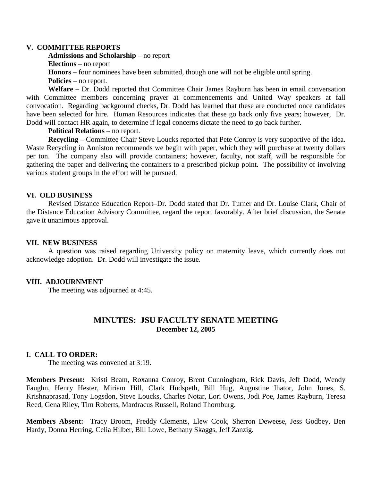#### **V. COMMITTEE REPORTS**

**Admissions and Scholarship** – no report

**Elections** – no report

**Honors** – four nominees have been submitted, though one will not be eligible until spring.

**Policies** – no report.

**Welfare** – Dr. Dodd reported that Committee Chair James Rayburn has been in email conversation with Committee members concerning prayer at commencements and United Way speakers at fall convocation. Regarding background checks, Dr. Dodd has learned that these are conducted once candidates have been selected for hire. Human Resources indicates that these go back only five years; however, Dr. Dodd will contact HR again, to determine if legal concerns dictate the need to go back further.

**Political Relations** – no report.

**Recycling** – Committee Chair Steve Loucks reported that Pete Conroy is very supportive of the idea. Waste Recycling in Anniston recommends we begin with paper, which they will purchase at twenty dollars per ton. The company also will provide containers; however, faculty, not staff, will be responsible for gathering the paper and delivering the containers to a prescribed pickup point. The possibility of involving various student groups in the effort will be pursued.

### **VI. OLD BUSINESS**

Revised Distance Education Report–Dr. Dodd stated that Dr. Turner and Dr. Louise Clark, Chair of the Distance Education Advisory Committee, regard the report favorably. After brief discussion, the Senate gave it unanimous approval.

#### **VII. NEW BUSINESS**

A question was raised regarding University policy on maternity leave, which currently does not acknowledge adoption. Dr. Dodd will investigate the issue.

#### **VIII. ADJOURNMENT**

The meeting was adjourned at 4:45.

# **MINUTES: JSU FACULTY SENATE MEETING December 12, 2005**

#### **I. CALL TO ORDER:**

The meeting was convened at 3:19.

**Members Present:** Kristi Beam, Roxanna Conroy, Brent Cunningham, Rick Davis, Jeff Dodd, Wendy Faughn, Henry Hester, Miriam Hill, Clark Hudspeth, Bill Hug, Augustine Ihator, John Jones, S. Krishnaprasad, Tony Logsdon, Steve Loucks, Charles Notar, Lori Owens, Jodi Poe, James Rayburn, Teresa Reed, Gena Riley, Tim Roberts, Mardracus Russell, Roland Thornburg.

**Members Absent:** Tracy Broom, Freddy Clements, Llew Cook, Sherron Deweese, Jess Godbey, Ben Hardy, Donna Herring, Celia Hilber, Bill Lowe, B**e**thany Skaggs, Jeff Zanzig.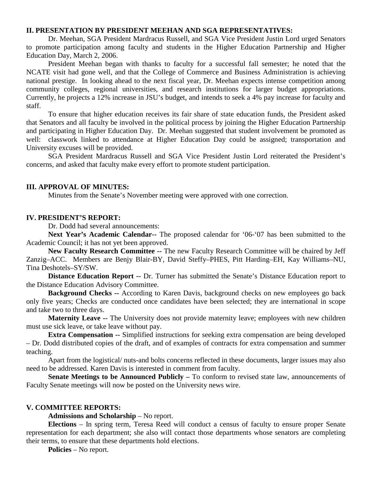## **II. PRESENTATION BY PRESIDENT MEEHAN AND SGA REPRESENTATIVES:**

Dr. Meehan, SGA President Mardracus Russell, and SGA Vice President Justin Lord urged Senators to promote participation among faculty and students in the Higher Education Partnership and Higher Education Day, March 2, 2006.

President Meehan began with thanks to faculty for a successful fall semester; he noted that the NCATE visit had gone well, and that the College of Commerce and Business Administration is achieving national prestige. In looking ahead to the next fiscal year, Dr. Meehan expects intense competition among community colleges, regional universities, and research institutions for larger budget appropriations. Currently, he projects a 12% increase in JSU's budget, and intends to seek a 4% pay increase for faculty and staff.

To ensure that higher education receives its fair share of state education funds, the President asked that Senators and all faculty be involved in the political process by joining the Higher Education Partnership and participating in Higher Education Day. Dr. Meehan suggested that student involvement be promoted as well: classwork linked to attendance at Higher Education Day could be assigned; transportation and University excuses will be provided.

SGA President Mardracus Russell and SGA Vice President Justin Lord reiterated the President's concerns, and asked that faculty make every effort to promote student participation.

## **III. APPROVAL OF MINUTES:**

Minutes from the Senate's November meeting were approved with one correction.

### **IV. PRESIDENT'S REPORT:**

Dr. Dodd had several announcements:

**Next Year's Academic Calendar--** The proposed calendar for '06-'07 has been submitted to the Academic Council; it has not yet been approved.

**New Faculty Research Committee --** The new Faculty Research Committee will be chaired by Jeff Zanzig–ACC. Members are Benjy Blair-BY, David Steffy–PHES, Pitt Harding–EH, Kay Williams–NU, Tina Deshotels–SY/SW.

**Distance Education Report --** Dr. Turner has submitted the Senate's Distance Education report to the Distance Education Advisory Committee.

**Background Checks --** According to Karen Davis, background checks on new employees go back only five years; Checks are conducted once candidates have been selected; they are international in scope and take two to three days.

**Maternity Leave --** The University does not provide maternity leave; employees with new children must use sick leave, or take leave without pay.

**Extra Compensation --** Simplified instructions for seeking extra compensation are being developed – Dr. Dodd distributed copies of the draft, and of examples of contracts for extra compensation and summer teaching.

Apart from the logistical/ nuts-and bolts concerns reflected in these documents, larger issues may also need to be addressed. Karen Davis is interested in comment from faculty.

**Senate Meetings to be Announced Publicly –** To conform to revised state law, announcements of Faculty Senate meetings will now be posted on the University news wire.

#### **V. COMMITTEE REPORTS:**

**Admissions and Scholarship** – No report.

**Elections** – In spring term, Teresa Reed will conduct a census of faculty to ensure proper Senate representation for each department; she also will contact those departments whose senators are completing their terms, to ensure that these departments hold elections.

**Policies** – No report.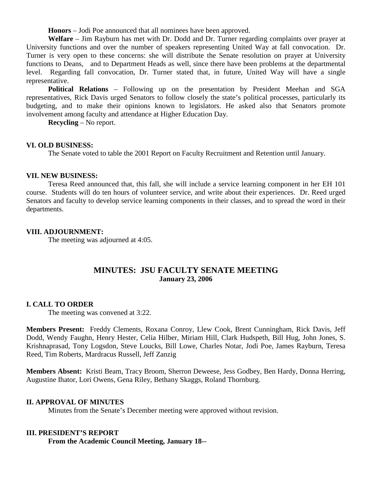**Honors** – Jodi Poe announced that all nominees have been approved.

**Welfare** – Jim Rayburn has met with Dr. Dodd and Dr. Turner regarding complaints over prayer at University functions and over the number of speakers representing United Way at fall convocation. Dr. Turner is very open to these concerns: she will distribute the Senate resolution on prayer at University functions to Deans, and to Department Heads as well, since there have been problems at the departmental level. Regarding fall convocation, Dr. Turner stated that, in future, United Way will have a single representative.

**Political Relations** – Following up on the presentation by President Meehan and SGA representatives, Rick Davis urged Senators to follow closely the state's political processes, particularly its budgeting, and to make their opinions known to legislators. He asked also that Senators promote involvement among faculty and attendance at Higher Education Day.

**Recycling** – No report.

### **VI. OLD BUSINESS:**

The Senate voted to table the 2001 Report on Faculty Recruitment and Retention until January.

### **VII. NEW BUSINESS:**

Teresa Reed announced that, this fall, she will include a service learning component in her EH 101 course. Students will do ten hours of volunteer service, and write about their experiences. Dr. Reed urged Senators and faculty to develop service learning components in their classes, and to spread the word in their departments.

## **VIII. ADJOURNMENT:**

The meeting was adjourned at 4:05.

# **MINUTES: JSU FACULTY SENATE MEETING January 23, 2006**

## **I. CALL TO ORDER**

The meeting was convened at 3:22.

**Members Present:** Freddy Clements, Roxana Conroy, Llew Cook, Brent Cunningham, Rick Davis, Jeff Dodd, Wendy Faughn, Henry Hester, Celia Hilber, Miriam Hill, Clark Hudspeth, Bill Hug, John Jones, S. Krishnaprasad, Tony Logsdon, Steve Loucks, Bill Lowe, Charles Notar, Jodi Poe, James Rayburn, Teresa Reed, Tim Roberts, Mardracus Russell, Jeff Zanzig

**Members Absent:** Kristi Beam, Tracy Broom, Sherron Deweese, Jess Godbey, Ben Hardy, Donna Herring, Augustine Ihator, Lori Owens, Gena Riley, Bethany Skaggs, Roland Thornburg.

### **II. APPROVAL OF MINUTES**

Minutes from the Senate's December meeting were approved without revision.

## **III. PRESIDENT'S REPORT**

**From the Academic Council Meeting, January 18--**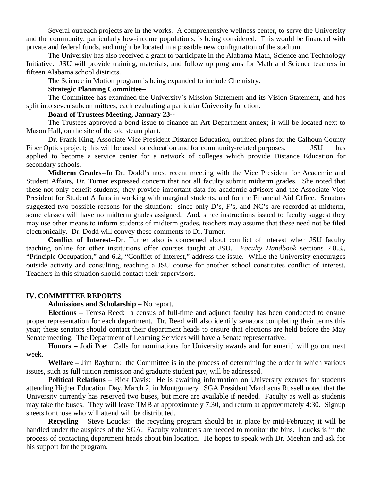Several outreach projects are in the works. A comprehensive wellness center, to serve the University and the community, particularly low-income populations, is being considered. This would be financed with private and federal funds, and might be located in a possible new configuration of the stadium.

The University has also received a grant to participate in the Alabama Math, Science and Technology Initiative. JSU will provide training, materials, and follow up programs for Math and Science teachers in fifteen Alabama school districts.

The Science in Motion program is being expanded to include Chemistry.

#### **Strategic Planning Committee–**

The Committee has examined the University's Mission Statement and its Vision Statement, and has split into seven subcommittees, each evaluating a particular University function.

### **Board of Trustees Meeting, January 23--**

The Trustees approved a bond issue to finance an Art Department annex; it will be located next to Mason Hall, on the site of the old steam plant.

Dr. Frank King, Associate Vice President Distance Education, outlined plans for the Calhoun County Fiber Optics project; this will be used for education and for community-related purposes. JSU has applied to become a service center for a network of colleges which provide Distance Education for secondary schools.

**Midterm Grades--**In Dr. Dodd's most recent meeting with the Vice President for Academic and Student Affairs, Dr. Turner expressed concern that not all faculty submit midterm grades. She noted that these not only benefit students; they provide important data for academic advisors and the Associate Vice President for Student Affairs in working with marginal students, and for the Financial Aid Office. Senators suggested two possible reasons for the situation: since only D's, F's, and NC's are recorded at midterm, some classes will have no midterm grades assigned. And, since instructions issued to faculty suggest they may use other means to inform students of midterm grades, teachers may assume that these need not be filed electronically. Dr. Dodd will convey these comments to Dr. Turner.

**Conflict of Interest--**Dr. Turner also is concerned about conflict of interest when JSU faculty teaching online for other institutions offer courses taught at JSU. *Faculty Handbook* sections 2.8.3., "Principle Occupation," and 6.2, "Conflict of Interest," address the issue. While the University encourages outside activity and consulting, teaching a JSU course for another school constitutes conflict of interest. Teachers in this situation should contact their supervisors.

#### **IV. COMMITTEE REPORTS**

# **Admissions and Scholarship** – No report.

**Elections** – Teresa Reed: a census of full-time and adjunct faculty has been conducted to ensure proper representation for each department. Dr. Reed will also identify senators completing their terms this year; these senators should contact their department heads to ensure that elections are held before the May Senate meeting. The Department of Learning Services will have a Senate representative.

**Honors –** Jodi Poe: Calls for nominations for University awards and for emeriti will go out next week.

**Welfare –** Jim Rayburn: the Committee is in the process of determining the order in which various issues, such as full tuition remission and graduate student pay, will be addressed.

**Political Relations** – Rick Davis: He is awaiting information on University excuses for students attending Higher Education Day, March 2, in Montgomery. SGA President Mardracus Russell noted that the University currently has reserved two buses, but more are available if needed. Faculty as well as students may take the buses. They will leave TMB at approximately 7:30, and return at approximately 4:30. Signup sheets for those who will attend will be distributed.

**Recycling** – Steve Loucks: the recycling program should be in place by mid-February; it will be handled under the auspices of the SGA. Faculty volunteers are needed to monitor the bins. Loucks is in the process of contacting department heads about bin location. He hopes to speak with Dr. Meehan and ask for his support for the program.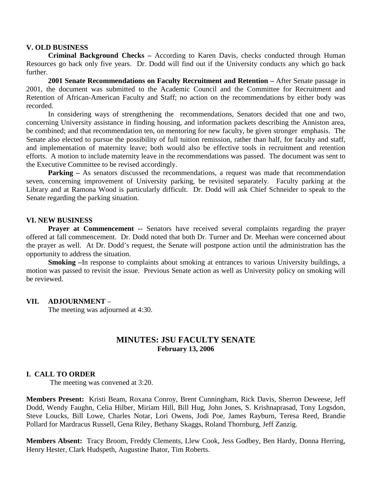#### **V. OLD BUSINESS**

**Criminal Background Checks –** According to Karen Davis, checks conducted through Human Resources go back only five years. Dr. Dodd will find out if the University conducts any which go back further.

**2001 Senate Recommendations on Faculty Recruitment and Retention –** After Senate passage in 2001, the document was submitted to the Academic Council and the Committee for Recruitment and Retention of African-American Faculty and Staff; no action on the recommendations by either body was recorded.

In considering ways of strengthening the recommendations, Senators decided that one and two, concerning University assistance in finding housing, and information packets describing the Anniston area, be combined; and that recommendation ten, on mentoring for new faculty, be given stronger emphasis. The Senate also elected to pursue the possibility of full tuition remission, rather than half, for faculty and staff, and implementation of maternity leave; both would also be effective tools in recruitment and retention efforts. A motion to include maternity leave in the recommendations was passed. The document was sent to the Executive Committee to be revised accordingly.

**Parking** – As senators discussed the recommendations, a request was made that recommendation seven, concerning improvement of University parking, be revisited separately. Faculty parking at the Library and at Ramona Wood is particularly difficult. Dr. Dodd will ask Chief Schneider to speak to the Senate regarding the parking situation.

### **VI. NEW BUSINESS**

**Prayer at Commencement --** Senators have received several complaints regarding the prayer offered at fall commencement. Dr. Dodd noted that both Dr. Turner and Dr. Meehan were concerned about the prayer as well. At Dr. Dodd's request, the Senate will postpone action until the administration has the opportunity to address the situation.

**Smoking –**In response to complaints about smoking at entrances to various University buildings, a motion was passed to revisit the issue. Previous Senate action as well as University policy on smoking will be reviewed.

#### **VII. ADJOURNMENT** –

The meeting was adjourned at 4:30.

# **MINUTES: JSU FACULTY SENATE February 13, 2006**

#### **I. CALL TO ORDER**

The meeting was convened at 3:20.

**Members Present:** Kristi Beam, Roxana Conroy, Brent Cunningham, Rick Davis, Sherron Deweese, Jeff Dodd, Wendy Faughn, Celia Hilber, Miriam Hill, Bill Hug, John Jones, S. Krishnaprasad, Tony Logsdon, Steve Loucks, Bill Lowe, Charles Notar, Lori Owens, Jodi Poe, James Rayburn, Teresa Reed, Brandie Pollard for Mardracus Russell, Gena Riley, Bethany Skaggs, Roland Thornburg, Jeff Zanzig.

**Members Absent:** Tracy Broom, Freddy Clements, Llew Cook, Jess Godbey, Ben Hardy, Donna Herring, Henry Hester, Clark Hudspeth, Augustine Ihator, Tim Roberts.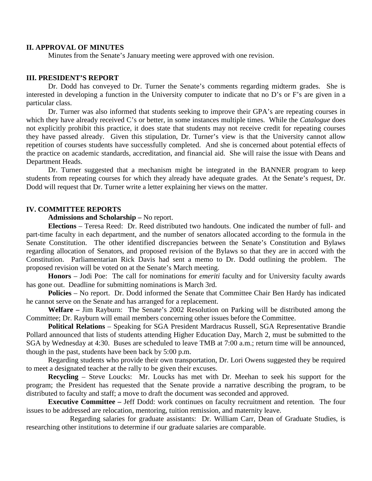# **II. APPROVAL OF MINUTES**

Minutes from the Senate's January meeting were approved with one revision.

# **III. PRESIDENT'S REPORT**

Dr. Dodd has conveyed to Dr. Turner the Senate's comments regarding midterm grades. She is interested in developing a function in the University computer to indicate that no D's or F's are given in a particular class.

Dr. Turner was also informed that students seeking to improve their GPA's are repeating courses in which they have already received C's or better, in some instances multiple times. While the *Catalogue* does not explicitly prohibit this practice, it does state that students may not receive credit for repeating courses they have passed already. Given this stipulation, Dr. Turner's view is that the University cannot allow repetition of courses students have successfully completed. And she is concerned about potential effects of the practice on academic standards, accreditation, and financial aid. She will raise the issue with Deans and Department Heads.

Dr. Turner suggested that a mechanism might be integrated in the BANNER program to keep students from repeating courses for which they already have adequate grades. At the Senate's request, Dr. Dodd will request that Dr. Turner write a letter explaining her views on the matter.

#### **IV. COMMITTEE REPORTS**

**Admissions and Scholarship –** No report.

**Elections** – Teresa Reed: Dr. Reed distributed two handouts. One indicated the number of full- and part-time faculty in each department, and the number of senators allocated according to the formula in the Senate Constitution. The other identified discrepancies between the Senate's Constitution and Bylaws regarding allocation of Senators, and proposed revision of the Bylaws so that they are in accord with the Constitution. Parliamentarian Rick Davis had sent a memo to Dr. Dodd outlining the problem. The proposed revision will be voted on at the Senate's March meeting.

**Honors** – Jodi Poe: The call for nominations for *emeriti* faculty and for University faculty awards has gone out. Deadline for submitting nominations is March 3rd.

**Policies** – No report. Dr. Dodd informed the Senate that Committee Chair Ben Hardy has indicated he cannot serve on the Senate and has arranged for a replacement.

**Welfare –** Jim Rayburn: The Senate's 2002 Resolution on Parking will be distributed among the Committee; Dr. Rayburn will email members concerning other issues before the Committee.

**Political Relations** – Speaking for SGA President Mardracus Russell, SGA Representative Brandie Pollard announced that lists of students attending Higher Education Day, March 2, must be submitted to the SGA by Wednesday at 4:30. Buses are scheduled to leave TMB at 7:00 a.m.; return time will be announced, though in the past, students have been back by 5:00 p.m.

Regarding students who provide their own transportation, Dr. Lori Owens suggested they be required to meet a designated teacher at the rally to be given their excuses.

**Recycling** – Steve Loucks: Mr. Loucks has met with Dr. Meehan to seek his support for the program; the President has requested that the Senate provide a narrative describing the program, to be distributed to faculty and staff; a move to draft the document was seconded and approved.

**Executive Committee –** Jeff Dodd: work continues on faculty recruitment and retention. The four issues to be addressed are relocation, mentoring, tuition remission, and maternity leave.

Regarding salaries for graduate assistants: Dr. William Carr, Dean of Graduate Studies, is researching other institutions to determine if our graduate salaries are comparable.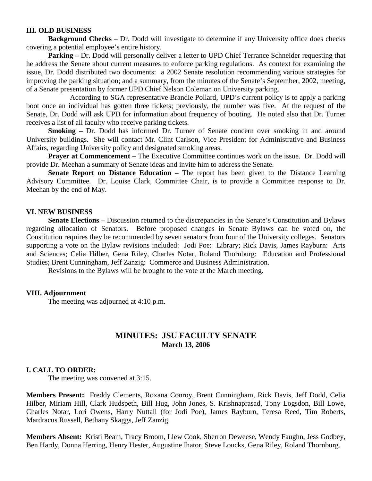### **III. OLD BUSINESS**

**Background Checks** – Dr. Dodd will investigate to determine if any University office does checks covering a potential employee's entire history.

**Parking –** Dr. Dodd will personally deliver a letter to UPD Chief Terrance Schneider requesting that he address the Senate about current measures to enforce parking regulations. As context for examining the issue, Dr. Dodd distributed two documents: a 2002 Senate resolution recommending various strategies for improving the parking situation; and a summary, from the minutes of the Senate's September, 2002, meeting, of a Senate presentation by former UPD Chief Nelson Coleman on University parking.

According to SGA representative Brandie Pollard, UPD's current policy is to apply a parking boot once an individual has gotten three tickets; previously, the number was five. At the request of the Senate, Dr. Dodd will ask UPD for information about frequency of booting. He noted also that Dr. Turner receives a list of all faculty who receive parking tickets.

**Smoking –** Dr. Dodd has informed Dr. Turner of Senate concern over smoking in and around University buildings. She will contact Mr. Clint Carlson, Vice President for Administrative and Business Affairs, regarding University policy and designated smoking areas.

**Prayer at Commencement** – The Executive Committee continues work on the issue. Dr. Dodd will provide Dr. Meehan a summary of Senate ideas and invite him to address the Senate.

**Senate Report on Distance Education –** The report has been given to the Distance Learning Advisory Committee. Dr. Louise Clark, Committee Chair, is to provide a Committee response to Dr. Meehan by the end of May.

#### **VI. NEW BUSINESS**

**Senate Elections –** Discussion returned to the discrepancies in the Senate's Constitution and Bylaws regarding allocation of Senators. Before proposed changes in Senate Bylaws can be voted on, the Constitution requires they be recommended by seven senators from four of the University colleges. Senators supporting a vote on the Bylaw revisions included: Jodi Poe: Library; Rick Davis, James Rayburn: Arts and Sciences; Celia Hilber, Gena Riley, Charles Notar, Roland Thornburg: Education and Professional Studies; Brent Cunningham, Jeff Zanzig: Commerce and Business Administration.

Revisions to the Bylaws will be brought to the vote at the March meeting.

#### **VIII. Adjournment**

The meeting was adjourned at 4:10 p.m.

# **MINUTES: JSU FACULTY SENATE March 13, 2006**

## **I. CALL TO ORDER:**

The meeting was convened at 3:15.

**Members Present:** Freddy Clements, Roxana Conroy, Brent Cunningham, Rick Davis, Jeff Dodd, Celia Hilber, Miriam Hill, Clark Hudspeth, Bill Hug, John Jones, S. Krishnaprasad, Tony Logsdon, Bill Lowe, Charles Notar, Lori Owens, Harry Nuttall (for Jodi Poe), James Rayburn, Teresa Reed, Tim Roberts, Mardracus Russell, Bethany Skaggs, Jeff Zanzig.

**Members Absent:** Kristi Beam, Tracy Broom, Llew Cook, Sherron Deweese, Wendy Faughn, Jess Godbey, Ben Hardy, Donna Herring, Henry Hester, Augustine Ihator, Steve Loucks, Gena Riley, Roland Thornburg.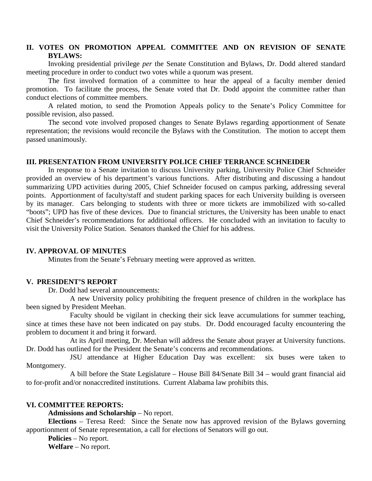# **II. VOTES ON PROMOTION APPEAL COMMITTEE AND ON REVISION OF SENATE BYLAWS:**

Invoking presidential privilege *per* the Senate Constitution and Bylaws, Dr. Dodd altered standard meeting procedure in order to conduct two votes while a quorum was present.

The first involved formation of a committee to hear the appeal of a faculty member denied promotion. To facilitate the process, the Senate voted that Dr. Dodd appoint the committee rather than conduct elections of committee members.

A related motion, to send the Promotion Appeals policy to the Senate's Policy Committee for possible revision, also passed.

The second vote involved proposed changes to Senate Bylaws regarding apportionment of Senate representation; the revisions would reconcile the Bylaws with the Constitution. The motion to accept them passed unanimously.

#### **III. PRESENTATION FROM UNIVERSITY POLICE CHIEF TERRANCE SCHNEIDER**

In response to a Senate invitation to discuss University parking, University Police Chief Schneider provided an overview of his department's various functions. After distributing and discussing a handout summarizing UPD activities during 2005, Chief Schneider focused on campus parking, addressing several points. Apportionment of faculty/staff and student parking spaces for each University building is overseen by its manager. Cars belonging to students with three or more tickets are immobilized with so-called "boots"; UPD has five of these devices. Due to financial strictures, the University has been unable to enact Chief Schneider's recommendations for additional officers. He concluded with an invitation to faculty to visit the University Police Station. Senators thanked the Chief for his address.

### **IV. APPROVAL OF MINUTES**

Minutes from the Senate's February meeting were approved as written.

### **V. PRESIDENT'S REPORT**

Dr. Dodd had several announcements:

A new University policy prohibiting the frequent presence of children in the workplace has been signed by President Meehan.

Faculty should be vigilant in checking their sick leave accumulations for summer teaching, since at times these have not been indicated on pay stubs. Dr. Dodd encouraged faculty encountering the problem to document it and bring it forward.

At its April meeting, Dr. Meehan will address the Senate about prayer at University functions. Dr. Dodd has outlined for the President the Senate's concerns and recommendations.

JSU attendance at Higher Education Day was excellent: six buses were taken to Montgomery.

A bill before the State Legislature – House Bill 84/Senate Bill 34 – would grant financial aid to for-profit and/or nonaccredited institutions. Current Alabama law prohibits this.

#### **VI. COMMITTEE REPORTS:**

**Admissions and Scholarship** – No report.

**Elections** – Teresa Reed: Since the Senate now has approved revision of the Bylaws governing apportionment of Senate representation, a call for elections of Senators will go out.

**Policies** – No report.

**Welfare** – No report.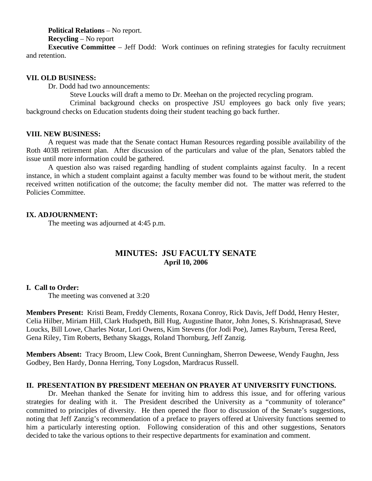**Political Relations** – No report.

**Recycling** – No report

**Executive Committee** – Jeff Dodd: Work continues on refining strategies for faculty recruitment and retention.

### **VII. OLD BUSINESS:**

Dr. Dodd had two announcements:

Steve Loucks will draft a memo to Dr. Meehan on the projected recycling program.

Criminal background checks on prospective JSU employees go back only five years; background checks on Education students doing their student teaching go back further.

### **VIII. NEW BUSINESS:**

A request was made that the Senate contact Human Resources regarding possible availability of the Roth 403B retirement plan. After discussion of the particulars and value of the plan, Senators tabled the issue until more information could be gathered.

A question also was raised regarding handling of student complaints against faculty. In a recent instance, in which a student complaint against a faculty member was found to be without merit, the student received written notification of the outcome; the faculty member did not. The matter was referred to the Policies Committee.

## **IX. ADJOURNMENT:**

The meeting was adjourned at 4:45 p.m.

# **MINUTES: JSU FACULTY SENATE April 10, 2006**

## **I. Call to Order:**

The meeting was convened at 3:20

**Members Present:** Kristi Beam, Freddy Clements, Roxana Conroy, Rick Davis, Jeff Dodd, Henry Hester, Celia Hilber, Miriam Hill, Clark Hudspeth, Bill Hug, Augustine Ihator, John Jones, S. Krishnaprasad, Steve Loucks, Bill Lowe, Charles Notar, Lori Owens, Kim Stevens (for Jodi Poe), James Rayburn, Teresa Reed, Gena Riley, Tim Roberts, Bethany Skaggs, Roland Thornburg, Jeff Zanzig.

**Members Absent:** Tracy Broom, Llew Cook, Brent Cunningham, Sherron Deweese, Wendy Faughn, Jess Godbey, Ben Hardy, Donna Herring, Tony Logsdon, Mardracus Russell.

## **II. PRESENTATION BY PRESIDENT MEEHAN ON PRAYER AT UNIVERSITY FUNCTIONS.**

Dr. Meehan thanked the Senate for inviting him to address this issue, and for offering various strategies for dealing with it. The President described the University as a "community of tolerance" committed to principles of diversity. He then opened the floor to discussion of the Senate's suggestions, noting that Jeff Zanzig's recommendation of a preface to prayers offered at University functions seemed to him a particularly interesting option. Following consideration of this and other suggestions, Senators decided to take the various options to their respective departments for examination and comment.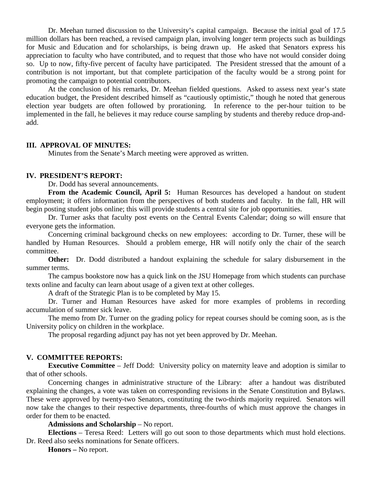Dr. Meehan turned discussion to the University's capital campaign. Because the initial goal of 17.5 million dollars has been reached, a revised campaign plan, involving longer term projects such as buildings for Music and Education and for scholarships, is being drawn up. He asked that Senators express his appreciation to faculty who have contributed, and to request that those who have not would consider doing so. Up to now, fifty-five percent of faculty have participated. The President stressed that the amount of a contribution is not important, but that complete participation of the faculty would be a strong point for promoting the campaign to potential contributors.

At the conclusion of his remarks, Dr. Meehan fielded questions. Asked to assess next year's state education budget, the President described himself as "cautiously optimistic," though he noted that generous election year budgets are often followed by prorationing. In reference to the per-hour tuition to be implemented in the fall, he believes it may reduce course sampling by students and thereby reduce drop-andadd.

### **III. APPROVAL OF MINUTES:**

Minutes from the Senate's March meeting were approved as written.

#### **IV. PRESIDENT'S REPORT:**

Dr. Dodd has several announcements.

**From the Academic Council, April 5:** Human Resources has developed a handout on student employment; it offers information from the perspectives of both students and faculty. In the fall, HR will begin posting student jobs online; this will provide students a central site for job opportunities.

Dr. Turner asks that faculty post events on the Central Events Calendar; doing so will ensure that everyone gets the information.

Concerning criminal background checks on new employees: according to Dr. Turner, these will be handled by Human Resources. Should a problem emerge, HR will notify only the chair of the search committee.

**Other:** Dr. Dodd distributed a handout explaining the schedule for salary disbursement in the summer terms.

The campus bookstore now has a quick link on the JSU Homepage from which students can purchase texts online and faculty can learn about usage of a given text at other colleges.

A draft of the Strategic Plan is to be completed by May 15.

Dr. Turner and Human Resources have asked for more examples of problems in recording accumulation of summer sick leave.

The memo from Dr. Turner on the grading policy for repeat courses should be coming soon, as is the University policy on children in the workplace.

The proposal regarding adjunct pay has not yet been approved by Dr. Meehan.

#### **V. COMMITTEE REPORTS:**

**Executive Committee** – Jeff Dodd: University policy on maternity leave and adoption is similar to that of other schools.

Concerning changes in administrative structure of the Library: after a handout was distributed explaining the changes, a vote was taken on corresponding revisions in the Senate Constitution and Bylaws. These were approved by twenty-two Senators, constituting the two-thirds majority required. Senators will now take the changes to their respective departments, three-fourths of which must approve the changes in order for them to be enacted.

# **Admissions and Scholarship** – No report.

**Elections** – Teresa Reed: Letters will go out soon to those departments which must hold elections. Dr. Reed also seeks nominations for Senate officers.

**Honors –** No report.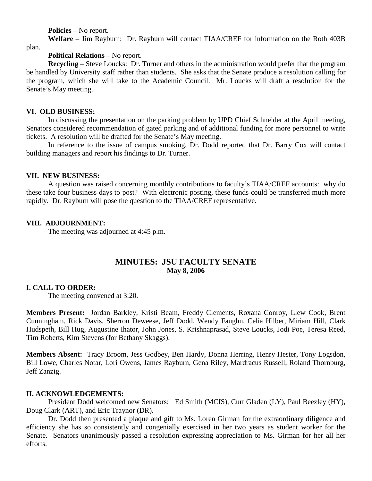**Policies** – No report.

**Welfare** – Jim Rayburn: Dr. Rayburn will contact TIAA/CREF for information on the Roth 403B

plan.

## **Political Relations** – No report.

**Recycling** – Steve Loucks: Dr. Turner and others in the administration would prefer that the program be handled by University staff rather than students. She asks that the Senate produce a resolution calling for the program, which she will take to the Academic Council. Mr. Loucks will draft a resolution for the Senate's May meeting.

# **VI. OLD BUSINESS:**

In discussing the presentation on the parking problem by UPD Chief Schneider at the April meeting, Senators considered recommendation of gated parking and of additional funding for more personnel to write tickets. A resolution will be drafted for the Senate's May meeting.

In reference to the issue of campus smoking, Dr. Dodd reported that Dr. Barry Cox will contact building managers and report his findings to Dr. Turner.

## **VII. NEW BUSINESS:**

A question was raised concerning monthly contributions to faculty's TIAA/CREF accounts: why do these take four business days to post? With electronic posting, these funds could be transferred much more rapidly. Dr. Rayburn will pose the question to the TIAA/CREF representative.

# **VIII. ADJOURNMENT:**

The meeting was adjourned at 4:45 p.m.

# **MINUTES: JSU FACULTY SENATE May 8, 2006**

# **I. CALL TO ORDER:**

The meeting convened at 3:20.

**Members Present:** Jordan Barkley, Kristi Beam, Freddy Clements, Roxana Conroy, Llew Cook, Brent Cunningham, Rick Davis, Sherron Deweese, Jeff Dodd, Wendy Faughn, Celia Hilber, Miriam Hill, Clark Hudspeth, Bill Hug, Augustine Ihator, John Jones, S. Krishnaprasad, Steve Loucks, Jodi Poe, Teresa Reed, Tim Roberts, Kim Stevens (for Bethany Skaggs).

**Members Absent:** Tracy Broom, Jess Godbey, Ben Hardy, Donna Herring, Henry Hester, Tony Logsdon, Bill Lowe, Charles Notar, Lori Owens, James Rayburn, Gena Riley, Mardracus Russell, Roland Thornburg, Jeff Zanzig.

## **II. ACKNOWLEDGEMENTS:**

President Dodd welcomed new Senators: Ed Smith (MCIS), Curt Gladen (LY), Paul Beezley (HY), Doug Clark (ART), and Eric Traynor (DR).

Dr. Dodd then presented a plaque and gift to Ms. Loren Girman for the extraordinary diligence and efficiency she has so consistently and congenially exercised in her two years as student worker for the Senate. Senators unanimously passed a resolution expressing appreciation to Ms. Girman for her all her efforts.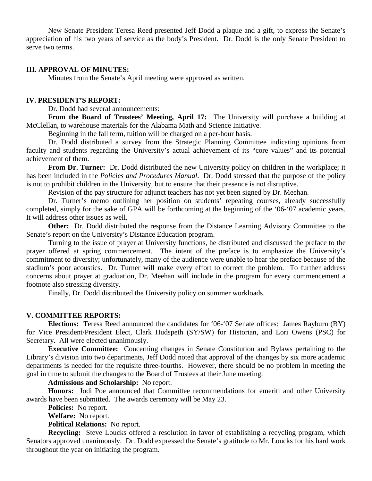New Senate President Teresa Reed presented Jeff Dodd a plaque and a gift, to express the Senate's appreciation of his two years of service as the body's President. Dr. Dodd is the only Senate President to serve two terms.

### **III. APPROVAL OF MINUTES:**

Minutes from the Senate's April meeting were approved as written.

### **IV. PRESIDENT'S REPORT:**

Dr. Dodd had several announcements:

**From the Board of Trustees' Meeting, April 17:** The University will purchase a building at McClellan, to warehouse materials for the Alabama Math and Science Initiative.

Beginning in the fall term, tuition will be charged on a per-hour basis.

Dr. Dodd distributed a survey from the Strategic Planning Committee indicating opinions from faculty and students regarding the University's actual achievement of its "core values" and its potential achievement of them.

**From Dr. Turner:** Dr. Dodd distributed the new University policy on children in the workplace; it has been included in the *Policies and Procedures Manual*. Dr. Dodd stressed that the purpose of the policy is not to prohibit children in the University, but to ensure that their presence is not disruptive.

Revision of the pay structure for adjunct teachers has not yet been signed by Dr. Meehan.

Dr. Turner's memo outlining her position on students' repeating courses, already successfully completed, simply for the sake of GPA will be forthcoming at the beginning of the '06-'07 academic years. It will address other issues as well.

**Other:** Dr. Dodd distributed the response from the Distance Learning Advisory Committee to the Senate's report on the University's Distance Education program.

Turning to the issue of prayer at University functions, he distributed and discussed the preface to the prayer offered at spring commencement. The intent of the preface is to emphasize the University's commitment to diversity; unfortunately, many of the audience were unable to hear the preface because of the stadium's poor acoustics. Dr. Turner will make every effort to correct the problem. To further address concerns about prayer at graduation, Dr. Meehan will include in the program for every commencement a footnote also stressing diversity.

Finally, Dr. Dodd distributed the University policy on summer workloads.

#### **V. COMMITTEE REPORTS:**

**Elections:** Teresa Reed announced the candidates for '06-'07 Senate offices: James Rayburn (BY) for Vice President/President Elect, Clark Hudspeth (SY/SW) for Historian, and Lori Owens (PSC) for Secretary. All were elected unanimously.

**Executive Committee:** Concerning changes in Senate Constitution and Bylaws pertaining to the Library's division into two departments, Jeff Dodd noted that approval of the changes by six more academic departments is needed for the requisite three-fourths. However, there should be no problem in meeting the goal in time to submit the changes to the Board of Trustees at their June meeting.

**Admissions and Scholarship:** No report.

**Honors:** Jodi Poe announced that Committee recommendations for emeriti and other University awards have been submitted. The awards ceremony will be May 23.

**Policies:** No report.

**Welfare:** No report.

**Political Relations:** No report.

**Recycling:** Steve Loucks offered a resolution in favor of establishing a recycling program, which Senators approved unanimously. Dr. Dodd expressed the Senate's gratitude to Mr. Loucks for his hard work throughout the year on initiating the program.